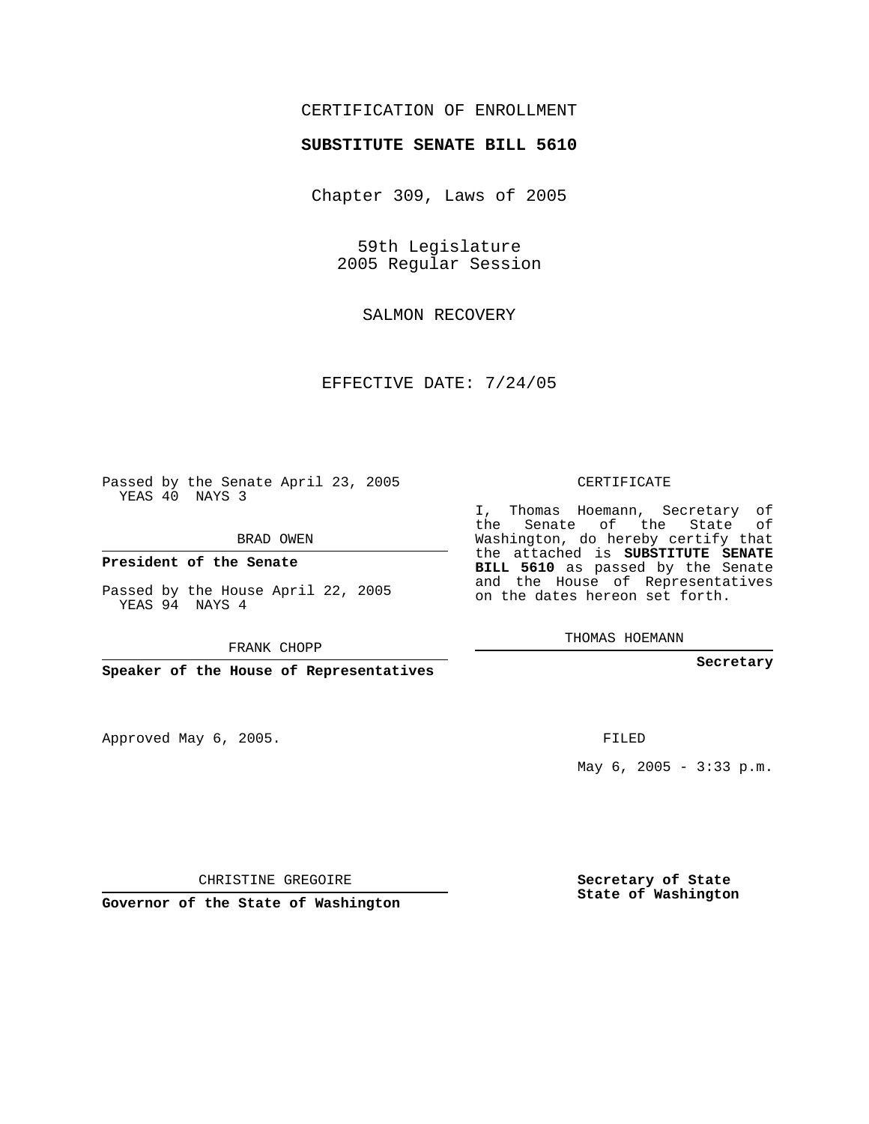## CERTIFICATION OF ENROLLMENT

## **SUBSTITUTE SENATE BILL 5610**

Chapter 309, Laws of 2005

59th Legislature 2005 Regular Session

SALMON RECOVERY

EFFECTIVE DATE: 7/24/05

Passed by the Senate April 23, 2005 YEAS 40 NAYS 3

BRAD OWEN

**President of the Senate**

Passed by the House April 22, 2005 YEAS 94 NAYS 4

FRANK CHOPP

**Speaker of the House of Representatives**

Approved May 6, 2005.

CERTIFICATE

I, Thomas Hoemann, Secretary of the Senate of the State of Washington, do hereby certify that the attached is **SUBSTITUTE SENATE BILL 5610** as passed by the Senate and the House of Representatives on the dates hereon set forth.

THOMAS HOEMANN

**Secretary**

FILED

May 6, 2005 - 3:33 p.m.

CHRISTINE GREGOIRE

**Governor of the State of Washington**

**Secretary of State State of Washington**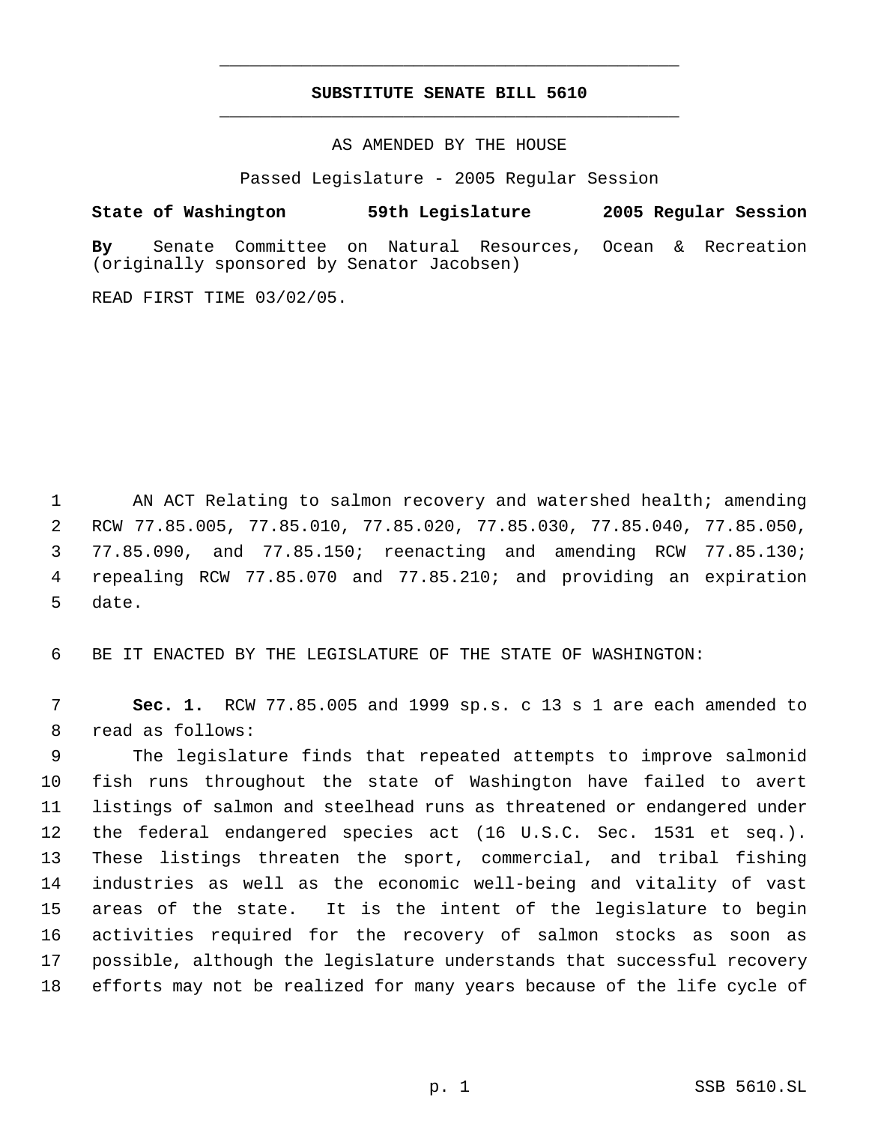## **SUBSTITUTE SENATE BILL 5610** \_\_\_\_\_\_\_\_\_\_\_\_\_\_\_\_\_\_\_\_\_\_\_\_\_\_\_\_\_\_\_\_\_\_\_\_\_\_\_\_\_\_\_\_\_

\_\_\_\_\_\_\_\_\_\_\_\_\_\_\_\_\_\_\_\_\_\_\_\_\_\_\_\_\_\_\_\_\_\_\_\_\_\_\_\_\_\_\_\_\_

AS AMENDED BY THE HOUSE

Passed Legislature - 2005 Regular Session

## **State of Washington 59th Legislature 2005 Regular Session**

**By** Senate Committee on Natural Resources, Ocean & Recreation (originally sponsored by Senator Jacobsen)

READ FIRST TIME 03/02/05.

1 AN ACT Relating to salmon recovery and watershed health; amending RCW 77.85.005, 77.85.010, 77.85.020, 77.85.030, 77.85.040, 77.85.050, 77.85.090, and 77.85.150; reenacting and amending RCW 77.85.130; repealing RCW 77.85.070 and 77.85.210; and providing an expiration date.

BE IT ENACTED BY THE LEGISLATURE OF THE STATE OF WASHINGTON:

 **Sec. 1.** RCW 77.85.005 and 1999 sp.s. c 13 s 1 are each amended to read as follows:

 The legislature finds that repeated attempts to improve salmonid fish runs throughout the state of Washington have failed to avert listings of salmon and steelhead runs as threatened or endangered under the federal endangered species act (16 U.S.C. Sec. 1531 et seq.). These listings threaten the sport, commercial, and tribal fishing industries as well as the economic well-being and vitality of vast areas of the state. It is the intent of the legislature to begin activities required for the recovery of salmon stocks as soon as possible, although the legislature understands that successful recovery efforts may not be realized for many years because of the life cycle of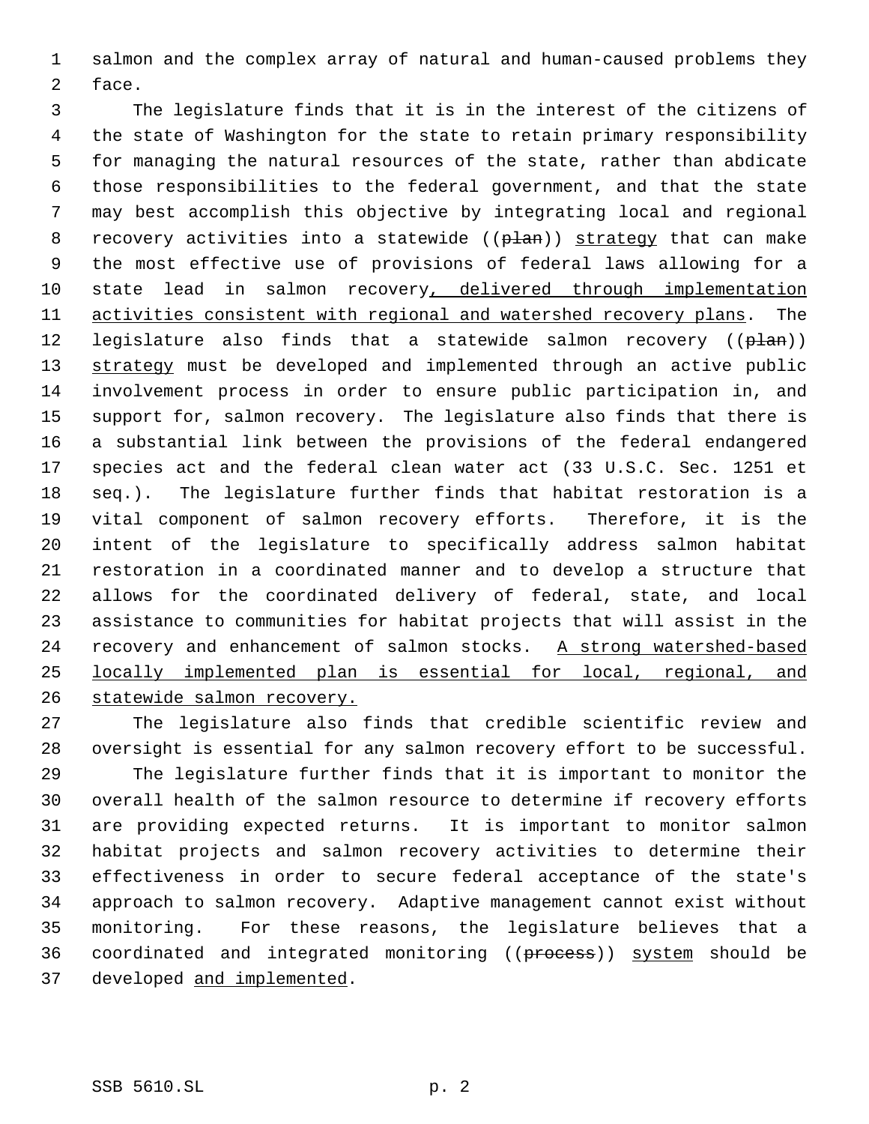salmon and the complex array of natural and human-caused problems they face.

 The legislature finds that it is in the interest of the citizens of the state of Washington for the state to retain primary responsibility for managing the natural resources of the state, rather than abdicate those responsibilities to the federal government, and that the state may best accomplish this objective by integrating local and regional 8 recovery activities into a statewide ((plan)) strategy that can make the most effective use of provisions of federal laws allowing for a 10 state lead in salmon recovery, delivered through implementation 11 activities consistent with regional and watershed recovery plans. The 12 legislature also finds that a statewide salmon recovery  $((\theta \tan))$ 13 strategy must be developed and implemented through an active public involvement process in order to ensure public participation in, and support for, salmon recovery. The legislature also finds that there is a substantial link between the provisions of the federal endangered species act and the federal clean water act (33 U.S.C. Sec. 1251 et seq.). The legislature further finds that habitat restoration is a vital component of salmon recovery efforts. Therefore, it is the intent of the legislature to specifically address salmon habitat restoration in a coordinated manner and to develop a structure that allows for the coordinated delivery of federal, state, and local assistance to communities for habitat projects that will assist in the 24 recovery and enhancement of salmon stocks. A strong watershed-based locally implemented plan is essential for local, regional, and statewide salmon recovery.

 The legislature also finds that credible scientific review and oversight is essential for any salmon recovery effort to be successful. The legislature further finds that it is important to monitor the overall health of the salmon resource to determine if recovery efforts are providing expected returns. It is important to monitor salmon habitat projects and salmon recovery activities to determine their effectiveness in order to secure federal acceptance of the state's approach to salmon recovery. Adaptive management cannot exist without monitoring. For these reasons, the legislature believes that a 36 coordinated and integrated monitoring ((process)) system should be developed and implemented.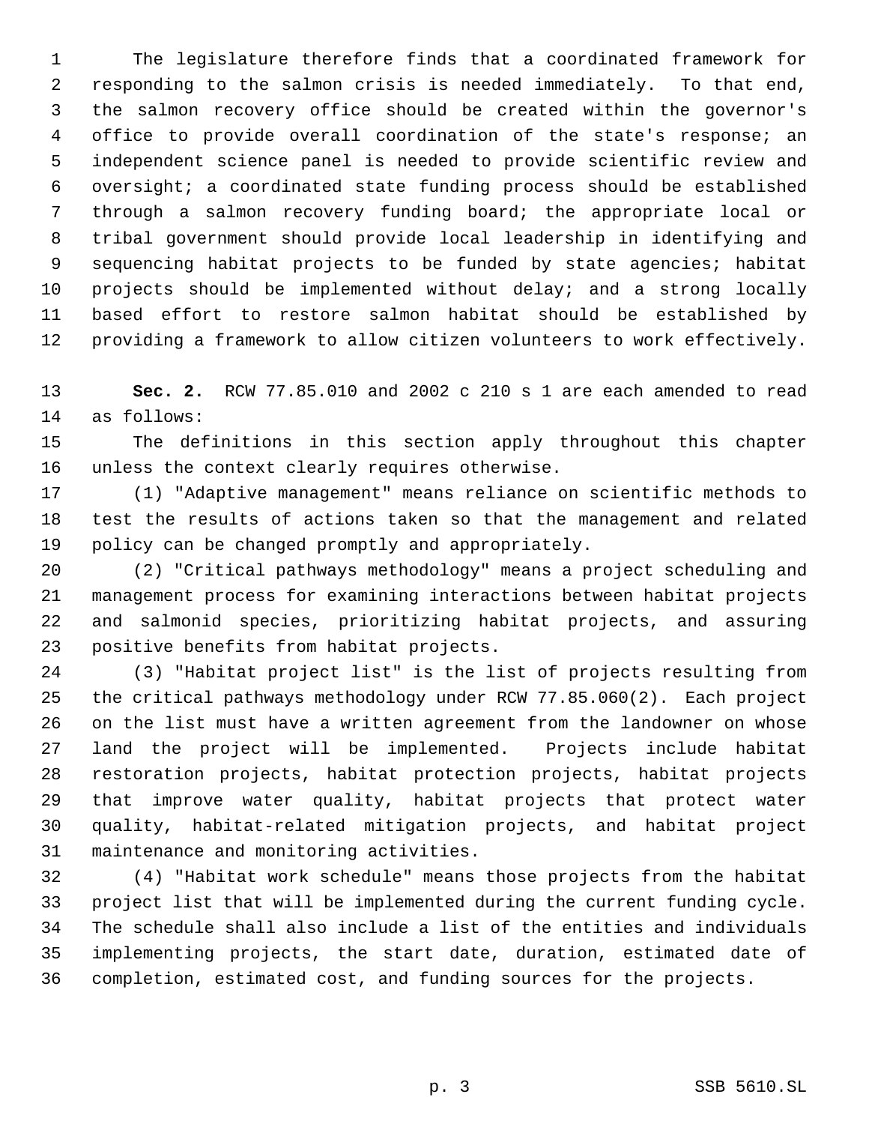The legislature therefore finds that a coordinated framework for responding to the salmon crisis is needed immediately. To that end, the salmon recovery office should be created within the governor's office to provide overall coordination of the state's response; an independent science panel is needed to provide scientific review and oversight; a coordinated state funding process should be established through a salmon recovery funding board; the appropriate local or tribal government should provide local leadership in identifying and sequencing habitat projects to be funded by state agencies; habitat projects should be implemented without delay; and a strong locally based effort to restore salmon habitat should be established by providing a framework to allow citizen volunteers to work effectively.

 **Sec. 2.** RCW 77.85.010 and 2002 c 210 s 1 are each amended to read as follows:

 The definitions in this section apply throughout this chapter unless the context clearly requires otherwise.

 (1) "Adaptive management" means reliance on scientific methods to test the results of actions taken so that the management and related policy can be changed promptly and appropriately.

 (2) "Critical pathways methodology" means a project scheduling and management process for examining interactions between habitat projects and salmonid species, prioritizing habitat projects, and assuring positive benefits from habitat projects.

 (3) "Habitat project list" is the list of projects resulting from the critical pathways methodology under RCW 77.85.060(2). Each project on the list must have a written agreement from the landowner on whose land the project will be implemented. Projects include habitat restoration projects, habitat protection projects, habitat projects that improve water quality, habitat projects that protect water quality, habitat-related mitigation projects, and habitat project maintenance and monitoring activities.

 (4) "Habitat work schedule" means those projects from the habitat project list that will be implemented during the current funding cycle. The schedule shall also include a list of the entities and individuals implementing projects, the start date, duration, estimated date of completion, estimated cost, and funding sources for the projects.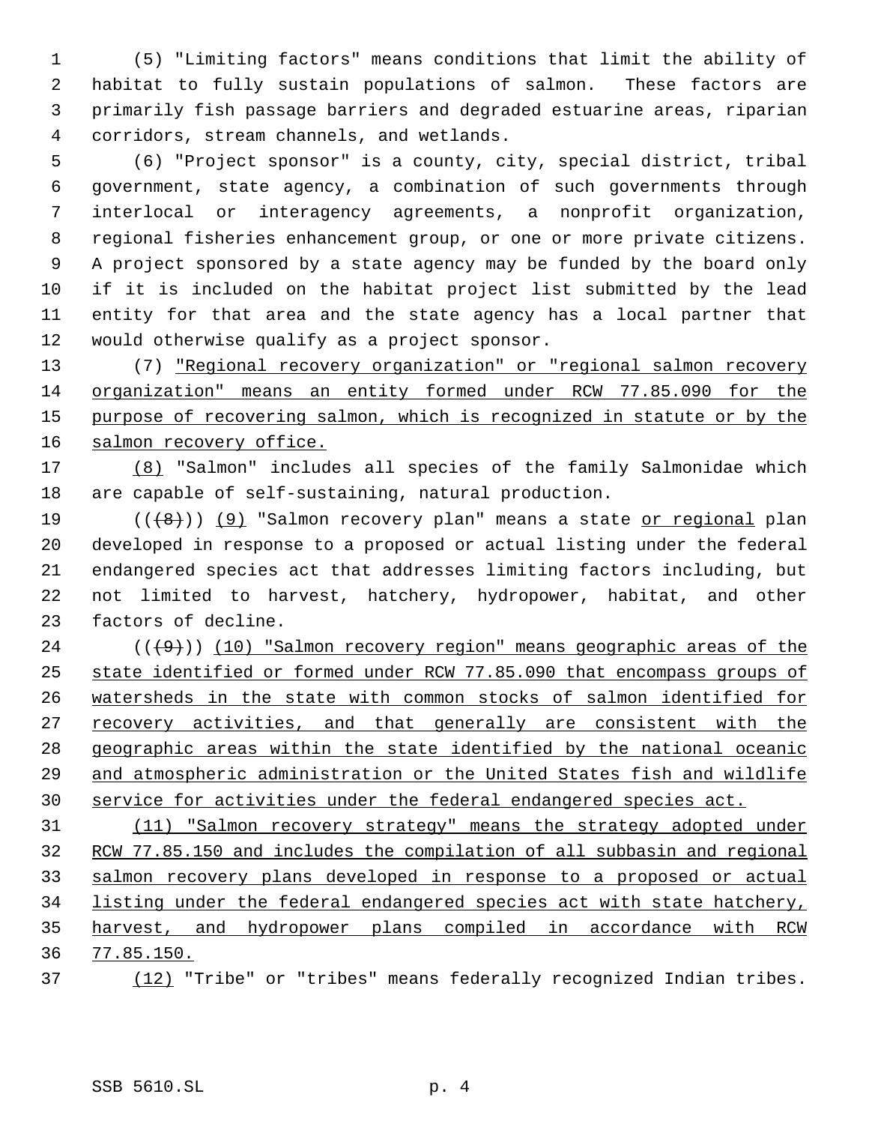(5) "Limiting factors" means conditions that limit the ability of habitat to fully sustain populations of salmon. These factors are primarily fish passage barriers and degraded estuarine areas, riparian corridors, stream channels, and wetlands.

 (6) "Project sponsor" is a county, city, special district, tribal government, state agency, a combination of such governments through interlocal or interagency agreements, a nonprofit organization, regional fisheries enhancement group, or one or more private citizens. A project sponsored by a state agency may be funded by the board only if it is included on the habitat project list submitted by the lead entity for that area and the state agency has a local partner that would otherwise qualify as a project sponsor.

 (7) "Regional recovery organization" or "regional salmon recovery organization" means an entity formed under RCW 77.85.090 for the 15 purpose of recovering salmon, which is recognized in statute or by the 16 salmon recovery office.

 (8) "Salmon" includes all species of the family Salmonidae which are capable of self-sustaining, natural production.

19 (((8)) (9) "Salmon recovery plan" means a state or regional plan developed in response to a proposed or actual listing under the federal endangered species act that addresses limiting factors including, but not limited to harvest, hatchery, hydropower, habitat, and other factors of decline.

 ( $(\frac{49}{})$ ) (10) "Salmon recovery region" means geographic areas of the state identified or formed under RCW 77.85.090 that encompass groups of watersheds in the state with common stocks of salmon identified for 27 recovery activities, and that generally are consistent with the geographic areas within the state identified by the national oceanic and atmospheric administration or the United States fish and wildlife service for activities under the federal endangered species act.

 (11) "Salmon recovery strategy" means the strategy adopted under RCW 77.85.150 and includes the compilation of all subbasin and regional salmon recovery plans developed in response to a proposed or actual listing under the federal endangered species act with state hatchery, harvest, and hydropower plans compiled in accordance with RCW 77.85.150.

(12) "Tribe" or "tribes" means federally recognized Indian tribes.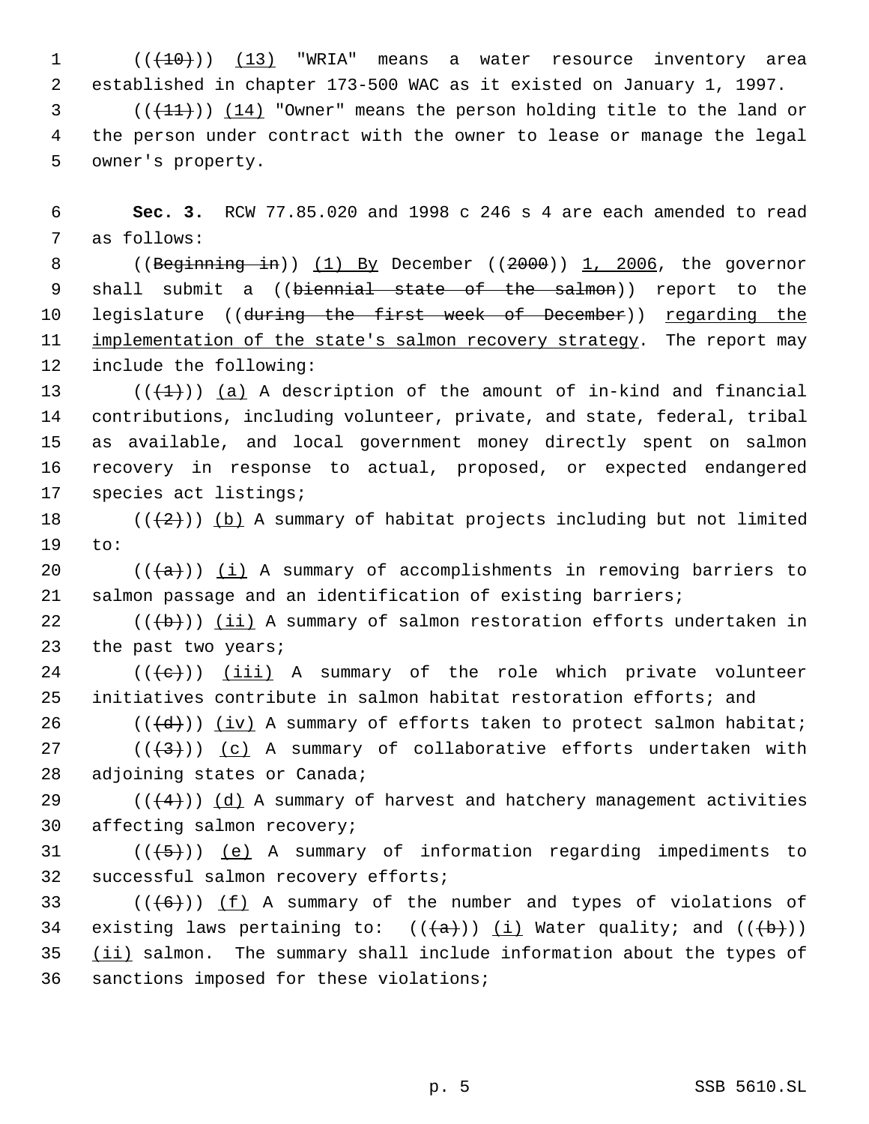1 (( $\left(\frac{(10)}{(10)}\right)$  (13) "WRIA" means a water resource inventory area 2 established in chapter 173-500 WAC as it existed on January 1, 1997.

 $3$  (( $\left(\frac{11}{11}\right)$ ) (14) "Owner" means the person holding title to the land or 4 the person under contract with the owner to lease or manage the legal 5 owner's property.

 6 **Sec. 3.** RCW 77.85.020 and 1998 c 246 s 4 are each amended to read 7 as follows:

8 ((Beginning in)) (1) By December ((2000)) 1, 2006, the governor 9 shall submit a ((biennial state of the salmon)) report to the 10 legislature ((during the first week of December)) regarding the 11 implementation of the state's salmon recovery strategy. The report may 12 include the following:

13 ( $(\overline{+1})$ ) (a) A description of the amount of in-kind and financial contributions, including volunteer, private, and state, federal, tribal as available, and local government money directly spent on salmon recovery in response to actual, proposed, or expected endangered species act listings;

18  $((+2))$  (b) A summary of habitat projects including but not limited 19 to:

20  $((+a))$  (i) A summary of accomplishments in removing barriers to 21 salmon passage and an identification of existing barriers;

22  $((\{b\}))(ii)$  A summary of salmon restoration efforts undertaken in 23 the past two years;

 $24$  (( $\left(\frac{1}{10}\right)$ ) (iii) A summary of the role which private volunteer 25 initiatives contribute in salmon habitat restoration efforts; and

26 ( $(\{\d{d}\})$ ) (iv) A summary of efforts taken to protect salmon habitat; 27 ( $(\frac{43}{})$ ) (c) A summary of collaborative efforts undertaken with

28 adjoining states or Canada;

29 ( $(\frac{4}{4})$ ) (d) A summary of harvest and hatchery management activities 30 affecting salmon recovery;

31  $((+5))$  (e) A summary of information regarding impediments to 32 successful salmon recovery efforts;

 $((+6))$   $(f)$  A summary of the number and types of violations of 34 existing laws pertaining to:  $((+a))$   $(i)$  Water quality; and  $((+b))$  (ii) salmon. The summary shall include information about the types of sanctions imposed for these violations;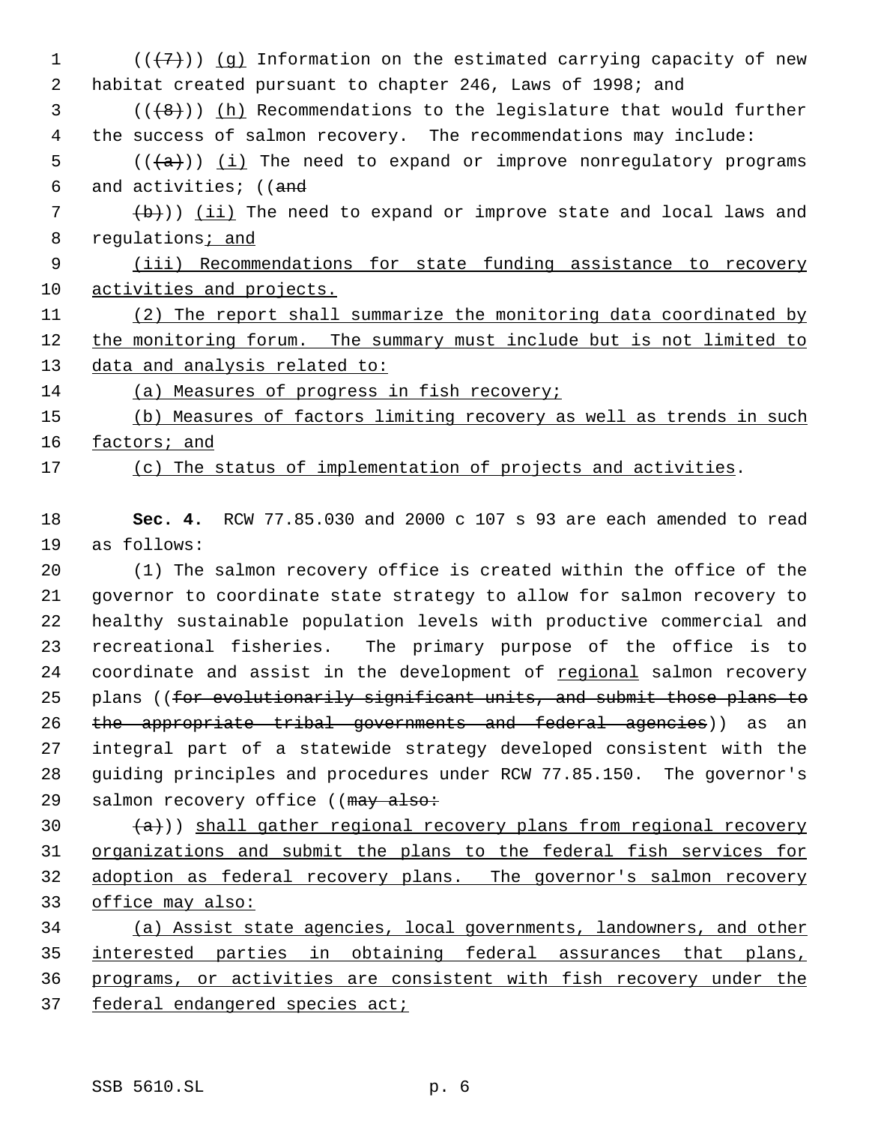$((\langle 7\rangle))$  (g) Information on the estimated carrying capacity of new habitat created pursuant to chapter 246, Laws of 1998; and (( $(48)$ )) (h) Recommendations to the legislature that would further the success of salmon recovery. The recommendations may include: (( $\frac{1}{1}$ ) (i) The need to expand or improve nonregulatory programs 6 and activities; ((and (b)) (ii) The need to expand or improve state and local laws and 8 regulations; and (iii) Recommendations for state funding assistance to recovery activities and projects. (2) The report shall summarize the monitoring data coordinated by the monitoring forum. The summary must include but is not limited to 13 data and analysis related to: (a) Measures of progress in fish recovery; (b) Measures of factors limiting recovery as well as trends in such factors; and (c) The status of implementation of projects and activities.

 **Sec. 4.** RCW 77.85.030 and 2000 c 107 s 93 are each amended to read as follows:

 (1) The salmon recovery office is created within the office of the governor to coordinate state strategy to allow for salmon recovery to healthy sustainable population levels with productive commercial and recreational fisheries. The primary purpose of the office is to coordinate and assist in the development of regional salmon recovery 25 plans ((for evolutionarily significant units, and submit those plans to 26 the appropriate tribal governments and federal agencies)) as an integral part of a statewide strategy developed consistent with the guiding principles and procedures under RCW 77.85.150. The governor's 29 salmon recovery office ((may also:

 $(a)$ )) shall gather regional recovery plans from regional recovery organizations and submit the plans to the federal fish services for 32 adoption as federal recovery plans. The governor's salmon recovery office may also:

 (a) Assist state agencies, local governments, landowners, and other interested parties in obtaining federal assurances that plans, programs, or activities are consistent with fish recovery under the federal endangered species act;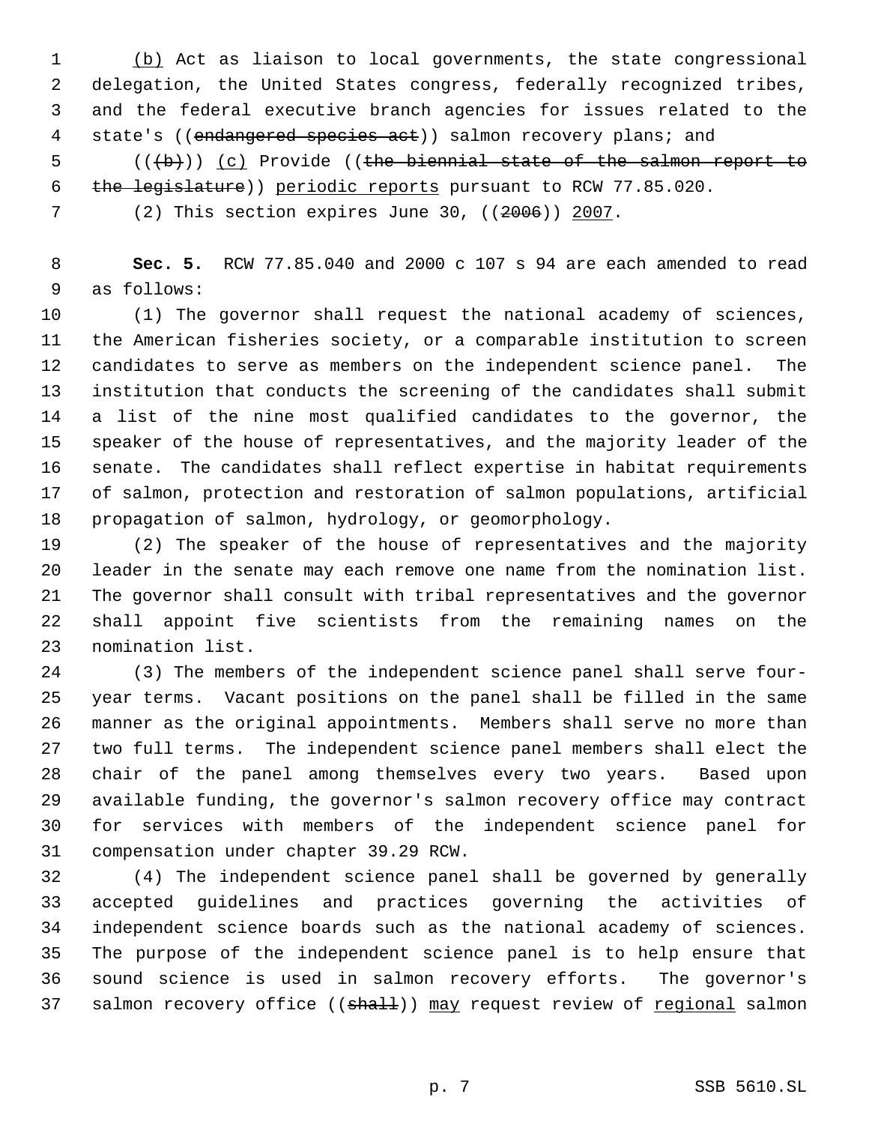(b) Act as liaison to local governments, the state congressional delegation, the United States congress, federally recognized tribes, and the federal executive branch agencies for issues related to the 4 state's ((endangered species act)) salmon recovery plans; and

5 (((b))) (c) Provide ((the biennial state of the salmon report to 6 the legislature)) periodic reports pursuant to RCW 77.85.020.

(2) This section expires June 30, ((2006)) 2007.

 **Sec. 5.** RCW 77.85.040 and 2000 c 107 s 94 are each amended to read as follows:

 (1) The governor shall request the national academy of sciences, the American fisheries society, or a comparable institution to screen candidates to serve as members on the independent science panel. The institution that conducts the screening of the candidates shall submit a list of the nine most qualified candidates to the governor, the speaker of the house of representatives, and the majority leader of the senate. The candidates shall reflect expertise in habitat requirements of salmon, protection and restoration of salmon populations, artificial propagation of salmon, hydrology, or geomorphology.

 (2) The speaker of the house of representatives and the majority leader in the senate may each remove one name from the nomination list. The governor shall consult with tribal representatives and the governor shall appoint five scientists from the remaining names on the nomination list.

 (3) The members of the independent science panel shall serve four- year terms. Vacant positions on the panel shall be filled in the same manner as the original appointments. Members shall serve no more than two full terms. The independent science panel members shall elect the chair of the panel among themselves every two years. Based upon available funding, the governor's salmon recovery office may contract for services with members of the independent science panel for compensation under chapter 39.29 RCW.

 (4) The independent science panel shall be governed by generally accepted guidelines and practices governing the activities of independent science boards such as the national academy of sciences. The purpose of the independent science panel is to help ensure that sound science is used in salmon recovery efforts. The governor's 37 salmon recovery office ((shall)) may request review of regional salmon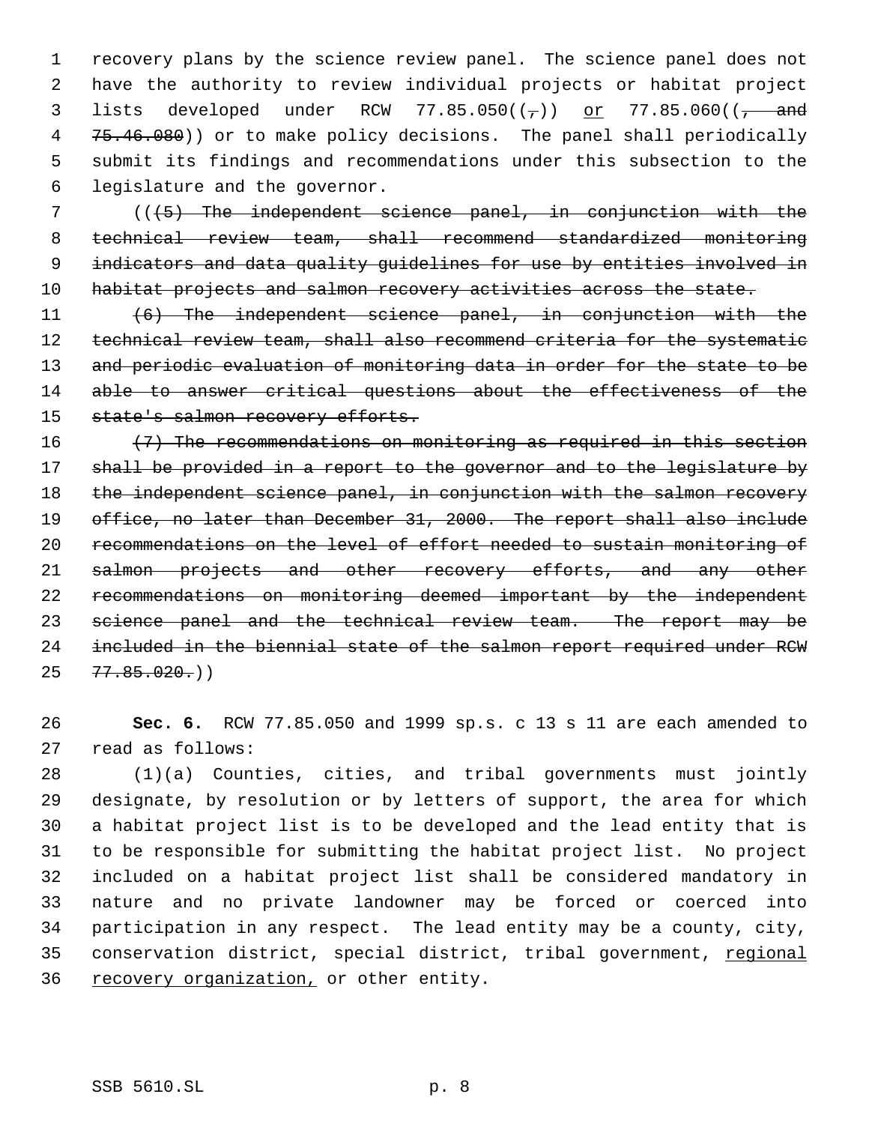recovery plans by the science review panel. The science panel does not have the authority to review individual projects or habitat project 3 lists developed under RCW 77.85.050( $(\frac{1}{2})$ ) or 77.85.060( $(\frac{1}{2})$  and 4 75.46.080)) or to make policy decisions. The panel shall periodically submit its findings and recommendations under this subsection to the legislature and the governor.

 7 (((5) The independent science panel, in conjunction with the 8 technical review team, shall recommend standardized monitoring 9 indicators and data quality guidelines for use by entities involved in 10 habitat projects and salmon recovery activities across the state.

11 (6) The independent science panel, in conjunction with the 12 technical review team, shall also recommend criteria for the systematic 13 and periodic evaluation of monitoring data in order for the state to be 14 able to answer critical questions about the effectiveness of the 15 state's salmon recovery efforts.

16  $(7)$  The recommendations on monitoring as required in this section 17 shall be provided in a report to the governor and to the legislature by 18 the independent science panel, in conjunction with the salmon recovery 19 office, no later than December 31, 2000. The report shall also include 20 recommendations on the level of effort needed to sustain monitoring of 21 salmon projects and other recovery efforts, and any other 22 recommendations on monitoring deemed important by the independent 23 science panel and the technical review team. The report may be 24 included in the biennial state of the salmon report required under RCW  $25 \quad 77.85.020()$ 

26 **Sec. 6.** RCW 77.85.050 and 1999 sp.s. c 13 s 11 are each amended to 27 read as follows:

 (1)(a) Counties, cities, and tribal governments must jointly designate, by resolution or by letters of support, the area for which a habitat project list is to be developed and the lead entity that is to be responsible for submitting the habitat project list. No project included on a habitat project list shall be considered mandatory in nature and no private landowner may be forced or coerced into participation in any respect. The lead entity may be a county, city, 35 conservation district, special district, tribal government, regional 36 recovery organization, or other entity.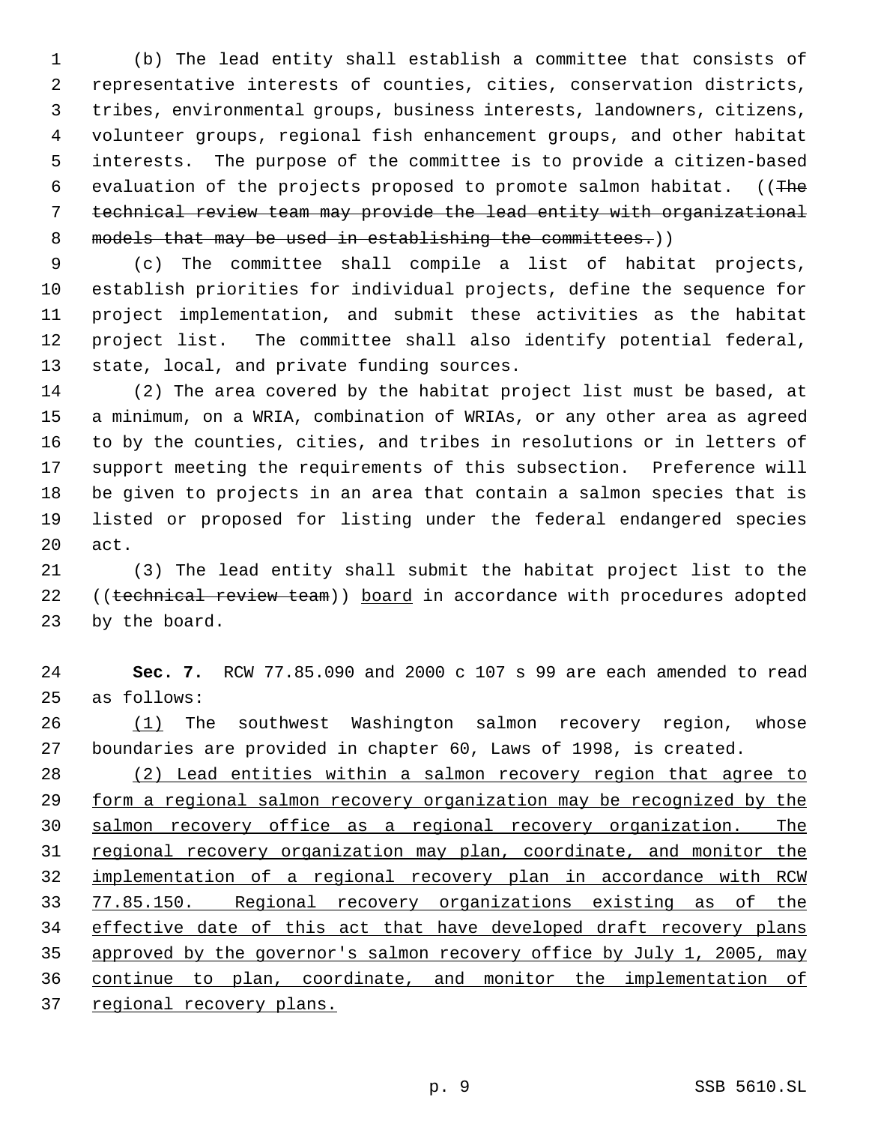(b) The lead entity shall establish a committee that consists of representative interests of counties, cities, conservation districts, tribes, environmental groups, business interests, landowners, citizens, volunteer groups, regional fish enhancement groups, and other habitat interests. The purpose of the committee is to provide a citizen-based 6 evaluation of the projects proposed to promote salmon habitat. ((The technical review team may provide the lead entity with organizational 8 models that may be used in establishing the committees.))

 (c) The committee shall compile a list of habitat projects, establish priorities for individual projects, define the sequence for project implementation, and submit these activities as the habitat project list. The committee shall also identify potential federal, state, local, and private funding sources.

 (2) The area covered by the habitat project list must be based, at a minimum, on a WRIA, combination of WRIAs, or any other area as agreed to by the counties, cities, and tribes in resolutions or in letters of support meeting the requirements of this subsection. Preference will be given to projects in an area that contain a salmon species that is listed or proposed for listing under the federal endangered species act.

 (3) The lead entity shall submit the habitat project list to the 22 ((technical review team)) board in accordance with procedures adopted by the board.

 **Sec. 7.** RCW 77.85.090 and 2000 c 107 s 99 are each amended to read as follows:

26 (1) The southwest Washington salmon recovery region, whose boundaries are provided in chapter 60, Laws of 1998, is created.

 (2) Lead entities within a salmon recovery region that agree to form a regional salmon recovery organization may be recognized by the salmon recovery office as a regional recovery organization. The 31 regional recovery organization may plan, coordinate, and monitor the implementation of a regional recovery plan in accordance with RCW 77.85.150. Regional recovery organizations existing as of the 34 effective date of this act that have developed draft recovery plans approved by the governor's salmon recovery office by July 1, 2005, may continue to plan, coordinate, and monitor the implementation of 37 regional recovery plans.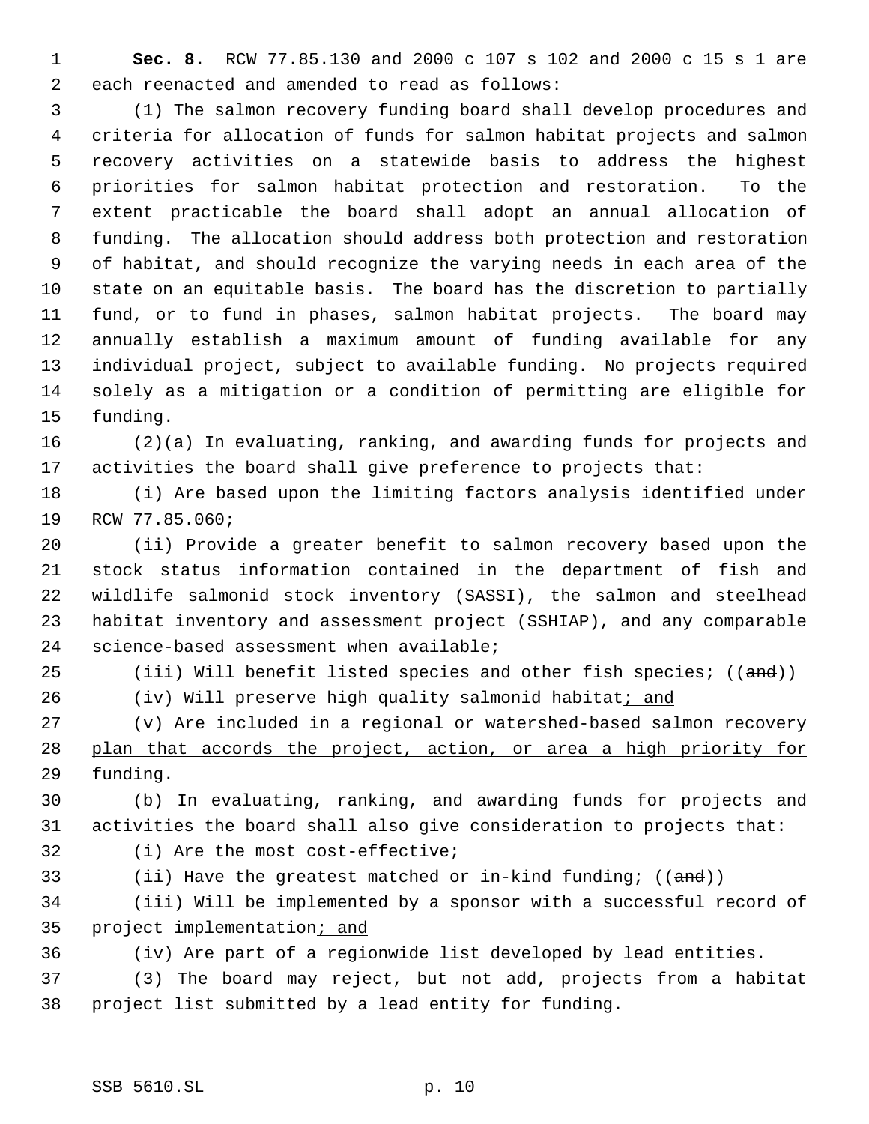**Sec. 8.** RCW 77.85.130 and 2000 c 107 s 102 and 2000 c 15 s 1 are each reenacted and amended to read as follows:

 (1) The salmon recovery funding board shall develop procedures and criteria for allocation of funds for salmon habitat projects and salmon recovery activities on a statewide basis to address the highest priorities for salmon habitat protection and restoration. To the extent practicable the board shall adopt an annual allocation of funding. The allocation should address both protection and restoration of habitat, and should recognize the varying needs in each area of the state on an equitable basis. The board has the discretion to partially fund, or to fund in phases, salmon habitat projects. The board may annually establish a maximum amount of funding available for any individual project, subject to available funding. No projects required solely as a mitigation or a condition of permitting are eligible for funding.

 (2)(a) In evaluating, ranking, and awarding funds for projects and activities the board shall give preference to projects that:

 (i) Are based upon the limiting factors analysis identified under RCW 77.85.060;

 (ii) Provide a greater benefit to salmon recovery based upon the stock status information contained in the department of fish and wildlife salmonid stock inventory (SASSI), the salmon and steelhead habitat inventory and assessment project (SSHIAP), and any comparable science-based assessment when available;

25 (iii) Will benefit listed species and other fish species; ((and))

26 (iv) Will preserve high quality salmonid habitat<sub>i and</sub>

 (v) Are included in a regional or watershed-based salmon recovery plan that accords the project, action, or area a high priority for funding.

 (b) In evaluating, ranking, and awarding funds for projects and activities the board shall also give consideration to projects that:

(i) Are the most cost-effective;

33 (ii) Have the greatest matched or in-kind funding; ((and))

 (iii) Will be implemented by a sponsor with a successful record of 35 project implementation; and

(iv) Are part of a regionwide list developed by lead entities.

 (3) The board may reject, but not add, projects from a habitat project list submitted by a lead entity for funding.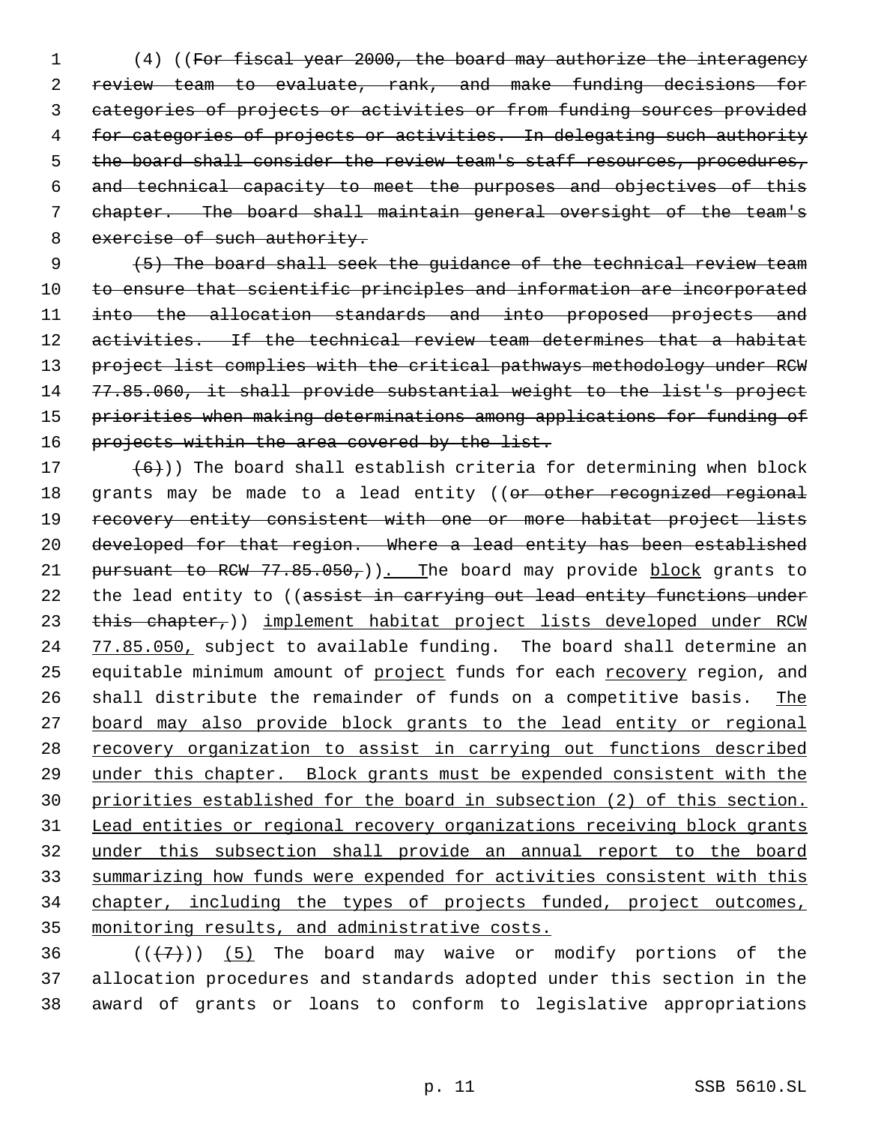(4) ((For fiscal year 2000, the board may authorize the interagency review team to evaluate, rank, and make funding decisions for categories of projects or activities or from funding sources provided for categories of projects or activities. In delegating such authority 5 the board shall consider the review team's staff resources, procedures, and technical capacity to meet the purposes and objectives of this 7 chapter. The board shall maintain general oversight of the team's 8 exercise of such authority.

 (5) The board shall seek the guidance of the technical review team to ensure that scientific principles and information are incorporated into the allocation standards and into proposed projects and activities. If the technical review team determines that a habitat project list complies with the critical pathways methodology under RCW 77.85.060, it shall provide substantial weight to the list's project priorities when making determinations among applications for funding of 16 projects within the area covered by the list.

17  $(6)$ )) The board shall establish criteria for determining when block 18 grants may be made to a lead entity ((or other recognized regional 19 recovery entity consistent with one or more habitat project lists 20 developed for that region. Where a lead entity has been established 21 pursuant to RCW 77.85.050,)). The board may provide block grants to 22 the lead entity to ((assist in carrying out lead entity functions under 23 this chapter,)) implement habitat project lists developed under RCW 24 77.85.050, subject to available funding. The board shall determine an 25 equitable minimum amount of project funds for each recovery region, and 26 shall distribute the remainder of funds on a competitive basis. The 27 board may also provide block grants to the lead entity or regional 28 recovery organization to assist in carrying out functions described 29 under this chapter. Block grants must be expended consistent with the 30 priorities established for the board in subsection (2) of this section. 31 Lead entities or regional recovery organizations receiving block grants 32 under this subsection shall provide an annual report to the board 33 summarizing how funds were expended for activities consistent with this 34 chapter, including the types of projects funded, project outcomes, 35 monitoring results, and administrative costs.

36  $((+7)^{n})$  (5) The board may waive or modify portions of the 37 allocation procedures and standards adopted under this section in the 38 award of grants or loans to conform to legislative appropriations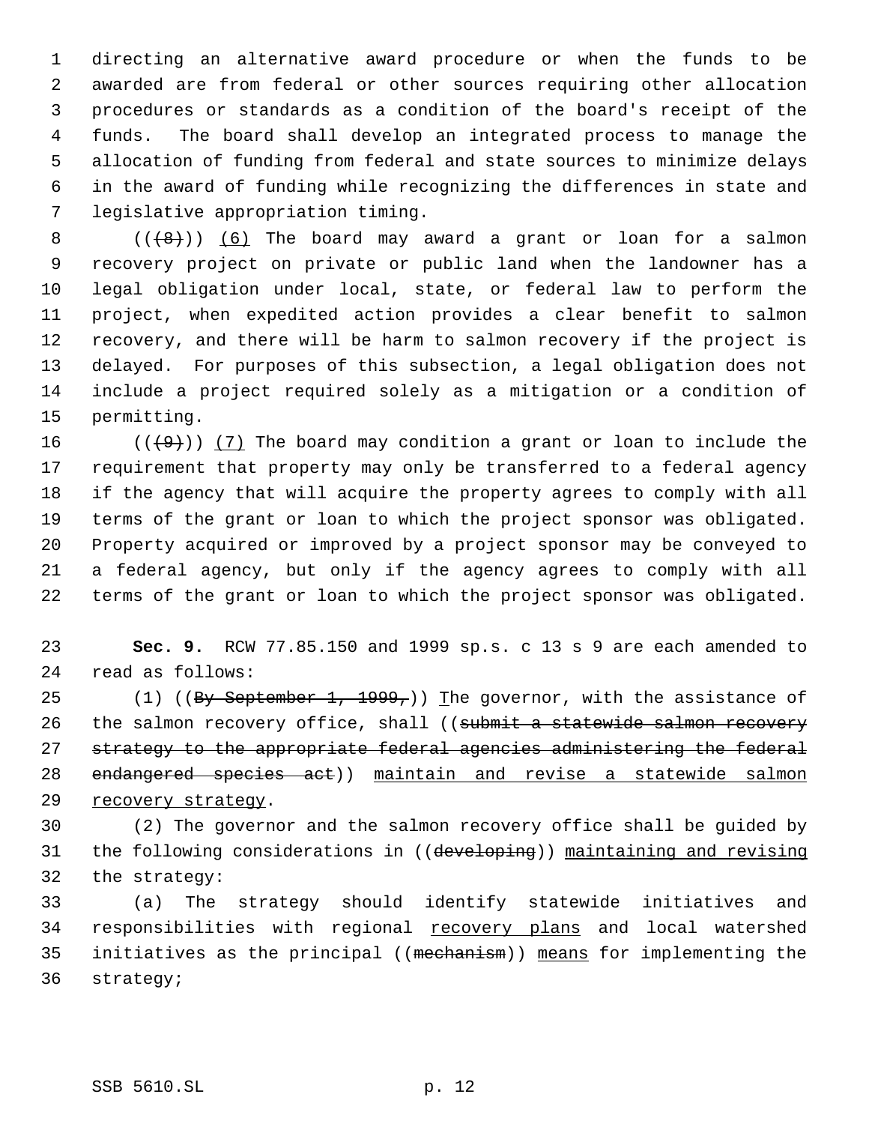directing an alternative award procedure or when the funds to be awarded are from federal or other sources requiring other allocation procedures or standards as a condition of the board's receipt of the funds. The board shall develop an integrated process to manage the allocation of funding from federal and state sources to minimize delays in the award of funding while recognizing the differences in state and legislative appropriation timing.

 $((+8))$   $(6)$  The board may award a grant or loan for a salmon recovery project on private or public land when the landowner has a legal obligation under local, state, or federal law to perform the project, when expedited action provides a clear benefit to salmon recovery, and there will be harm to salmon recovery if the project is delayed. For purposes of this subsection, a legal obligation does not include a project required solely as a mitigation or a condition of permitting.

16 ( $(\langle 49 \rangle)$ ) (7) The board may condition a grant or loan to include the requirement that property may only be transferred to a federal agency if the agency that will acquire the property agrees to comply with all terms of the grant or loan to which the project sponsor was obligated. Property acquired or improved by a project sponsor may be conveyed to a federal agency, but only if the agency agrees to comply with all terms of the grant or loan to which the project sponsor was obligated.

 **Sec. 9.** RCW 77.85.150 and 1999 sp.s. c 13 s 9 are each amended to read as follows:

25 (1) ((By September 1, 1999,)) The governor, with the assistance of 26 the salmon recovery office, shall ((submit a statewide salmon recovery strategy to the appropriate federal agencies administering the federal endangered species act)) maintain and revise a statewide salmon recovery strategy.

 (2) The governor and the salmon recovery office shall be guided by 31 the following considerations in ((developing)) maintaining and revising the strategy:

 (a) The strategy should identify statewide initiatives and 34 responsibilities with regional recovery plans and local watershed initiatives as the principal ((mechanism)) means for implementing the strategy;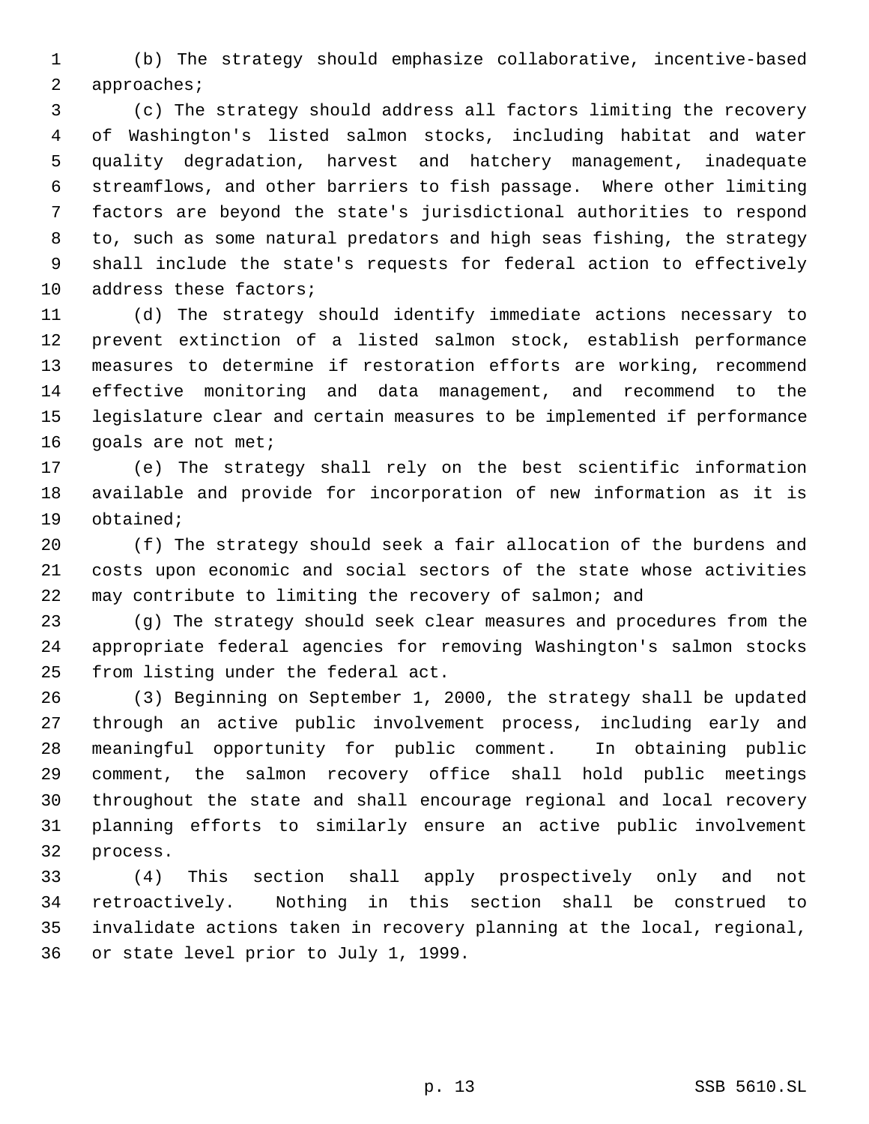(b) The strategy should emphasize collaborative, incentive-based approaches;

 (c) The strategy should address all factors limiting the recovery of Washington's listed salmon stocks, including habitat and water quality degradation, harvest and hatchery management, inadequate streamflows, and other barriers to fish passage. Where other limiting factors are beyond the state's jurisdictional authorities to respond to, such as some natural predators and high seas fishing, the strategy shall include the state's requests for federal action to effectively 10 address these factors;

 (d) The strategy should identify immediate actions necessary to prevent extinction of a listed salmon stock, establish performance measures to determine if restoration efforts are working, recommend effective monitoring and data management, and recommend to the legislature clear and certain measures to be implemented if performance goals are not met;

 (e) The strategy shall rely on the best scientific information available and provide for incorporation of new information as it is obtained;

 (f) The strategy should seek a fair allocation of the burdens and costs upon economic and social sectors of the state whose activities may contribute to limiting the recovery of salmon; and

 (g) The strategy should seek clear measures and procedures from the appropriate federal agencies for removing Washington's salmon stocks from listing under the federal act.

 (3) Beginning on September 1, 2000, the strategy shall be updated through an active public involvement process, including early and meaningful opportunity for public comment. In obtaining public comment, the salmon recovery office shall hold public meetings throughout the state and shall encourage regional and local recovery planning efforts to similarly ensure an active public involvement process.

 (4) This section shall apply prospectively only and not retroactively. Nothing in this section shall be construed to invalidate actions taken in recovery planning at the local, regional, or state level prior to July 1, 1999.